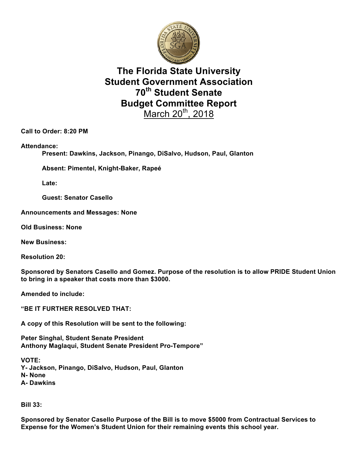

## **The Florida State University Student Government Association 70th Student Senate Budget Committee Report** March  $20<sup>th</sup>$ , 2018

**Call to Order: 8:20 PM**

**Attendance:**

**Present: Dawkins, Jackson, Pinango, DiSalvo, Hudson, Paul, Glanton**

**Absent: Pimentel, Knight-Baker, Rapeé**

**Late:**

**Guest: Senator Casello**

**Announcements and Messages: None**

**Old Business: None**

**New Business:** 

**Resolution 20:**

**Sponsored by Senators Casello and Gomez. Purpose of the resolution is to allow PRIDE Student Union to bring in a speaker that costs more than \$3000.**

**Amended to include:**

**"BE IT FURTHER RESOLVED THAT:**

**A copy of this Resolution will be sent to the following:**

**Peter Singhal, Student Senate President Anthony Maglaqui, Student Senate President Pro-Tempore"**

**VOTE: Y- Jackson, Pinango, DiSalvo, Hudson, Paul, Glanton N- None A- Dawkins**

**Bill 33:**

**Sponsored by Senator Casello Purpose of the Bill is to move \$5000 from Contractual Services to Expense for the Women's Student Union for their remaining events this school year.**